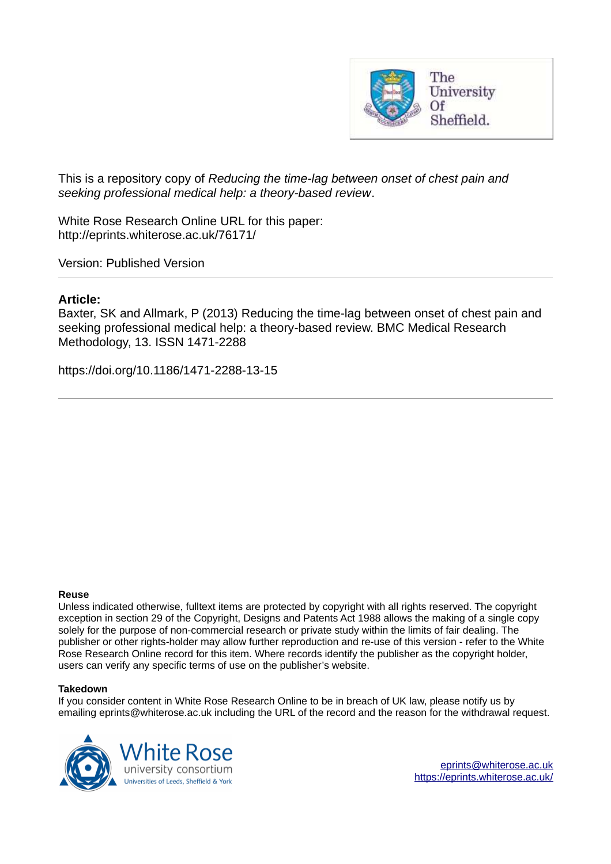

<span id="page-0-0"></span>This is a repository copy of *Reducing the time-lag between onset of chest pain and seeking professional medical help: a theory-based review*.

White Rose Research Online URL for this paper: http://eprints.whiterose.ac.uk/76171/

Version: Published Version

### **Article:**

Baxter, SK and Allmark, P (2013) Reducing the time-lag between onset of chest pain and seeking professional medical help: a theory-based review. BMC Medical Research Methodology, 13. ISSN 1471-2288

https://doi.org/10.1186/1471-2288-13-15

#### **Reuse**

Unless indicated otherwise, fulltext items are protected by copyright with all rights reserved. The copyright exception in section 29 of the Copyright, Designs and Patents Act 1988 allows the making of a single copy solely for the purpose of non-commercial research or private study within the limits of fair dealing. The publisher or other rights-holder may allow further reproduction and re-use of this version - refer to the White Rose Research Online record for this item. Where records identify the publisher as the copyright holder, users can verify any specific terms of use on the publisher's website.

#### **Takedown**

If you consider content in White Rose Research Online to be in breach of UK law, please notify us by emailing eprints@whiterose.ac.uk including the URL of the record and the reason for the withdrawal request.

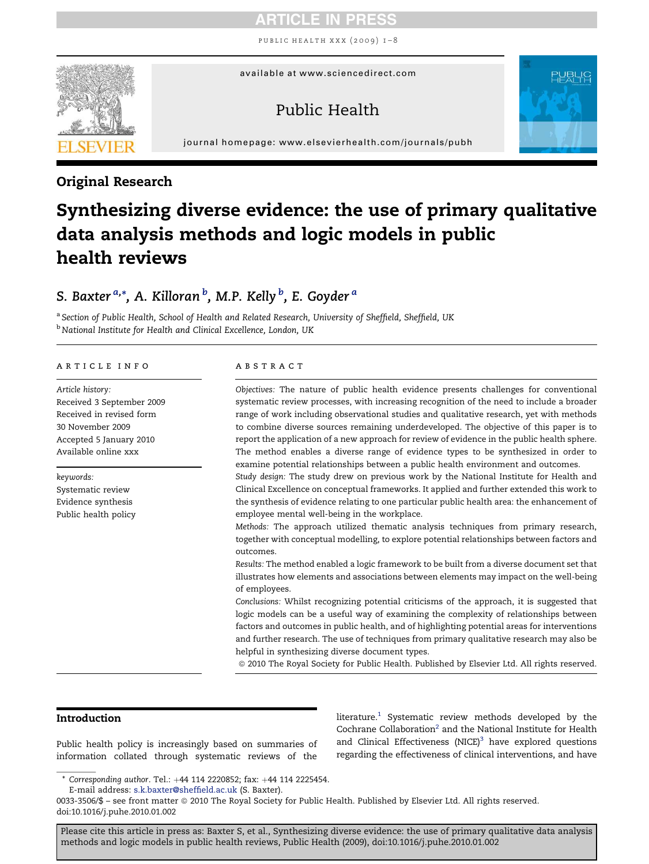public health xxx (2009) 1–8



available at www.sciencedirect.com

### Public Health



journal homepage: [www.elsevierhealth.com/journals/pubh](http://www.elsevierhealth.com/journals/pubh)

### Original Research

# Synthesizing diverse evidence: the use of primary qualitative data analysis methods and logic models in public health reviews

### S. B[a](#page-0-0)xter  $^{a,\ast}$  $^{a,\ast}$  $^{a,\ast}$ , A. Killoran  $^b$  $^b$ , M.P. Kelly  $^b$ , E. Goyder  $^a$

a *Section of Public Health, School of Health and Related Research, University of Sheffield, Sheffield, UK* <sup>b</sup> *National Institute for Health and Clinical Excellence, London, UK*

#### article info

*Article history:* Received 3 September 2009 Received in revised form 30 November 2009 Accepted 5 January 2010 Available online xxx

*keywords:* Systematic review Evidence synthesis Public health policy

#### abstract

*Objectives:* The nature of public health evidence presents challenges for conventional systematic review processes, with increasing recognition of the need to include a broader range of work including observational studies and qualitative research, yet with methods to combine diverse sources remaining underdeveloped. The objective of this paper is to report the application of a new approach for review of evidence in the public health sphere. The method enables a diverse range of evidence types to be synthesized in order to examine potential relationships between a public health environment and outcomes.

*Study design:* The study drew on previous work by the National Institute for Health and Clinical Excellence on conceptual frameworks. It applied and further extended this work to the synthesis of evidence relating to one particular public health area: the enhancement of employee mental well-being in the workplace.

*Methods:* The approach utilized thematic analysis techniques from primary research, together with conceptual modelling, to explore potential relationships between factors and outcomes.

*Results:* The method enabled a logic framework to be built from a diverse document set that illustrates how elements and associations between elements may impact on the well-being of employees.

*Conclusions:* Whilst recognizing potential criticisms of the approach, it is suggested that logic models can be a useful way of examining the complexity of relationships between factors and outcomes in public health, and of highlighting potential areas for interventions and further research. The use of techniques from primary qualitative research may also be helpful in synthesizing diverse document types.

ª 2010 The Royal Society for Public Health. Published by Elsevier Ltd. All rights reserved.

#### Introduction

Public health policy is increasingly based on summaries of information collated through systematic reviews of the

literature. $^1$  $^1$  Systematic review methods developed by the Cochrane Collaboration<sup>[2](#page-6-0)</sup> and the National Institute for Health and Clinical Effectiveness  $(NICE)^3$  $(NICE)^3$  have explored questions regarding the effectiveness of clinical interventions, and have

0033-3506/\$ – see front matter ª 2010 The Royal Society for Public Health. Published by Elsevier Ltd. All rights reserved. doi:10.1016/j.puhe.2010.01.002

<sup>\*</sup> *Corresponding author*. Tel.: þ44 114 2220852; fax: þ44 114 2225454.

E-mail address: [s.k.baxter@sheffield.ac.uk](mailto:s.k.baxter@sheffield.ac.uk) (S. Baxter).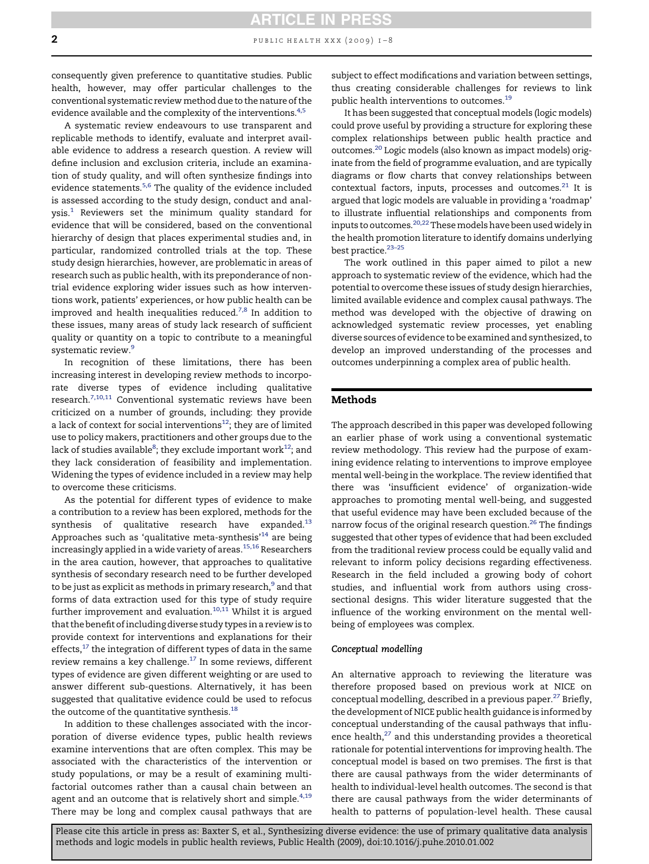### <span id="page-2-0"></span>2 **public HEALTH XXX** (2009)  $I-8$ ARTICLE IN PRESS

consequently given preference to quantitative studies. Public health, however, may offer particular challenges to the conventional systematic reviewmethod due to the nature of the evidence available and the complexity of the interventions.<sup>[4,5](#page-6-0)</sup>

A systematic review endeavours to use transparent and replicable methods to identify, evaluate and interpret available evidence to address a research question. A review will define inclusion and exclusion criteria, include an examination of study quality, and will often synthesize findings into evidence statements.<sup>[5,6](#page-6-0)</sup> The quality of the evidence included is assessed according to the study design, conduct and analysis.[1](#page-6-0) Reviewers set the minimum quality standard for evidence that will be considered, based on the conventional hierarchy of design that places experimental studies and, in particular, randomized controlled trials at the top. These study design hierarchies, however, are problematic in areas of research such as public health, with its preponderance of nontrial evidence exploring wider issues such as how interventions work, patients' experiences, or how public health can be improved and health inequalities reduced.<sup>[7,8](#page-6-0)</sup> In addition to these issues, many areas of study lack research of sufficient quality or quantity on a topic to contribute to a meaningful systematic review.<sup>[9](#page-6-0)</sup>

In recognition of these limitations, there has been increasing interest in developing review methods to incorporate diverse types of evidence including qualitative research.<sup>[7,10,11](#page-6-0)</sup> Conventional systematic reviews have been criticized on a number of grounds, including: they provide a lack of context for social interventions<sup>[12](#page-6-0)</sup>; they are of limited use to policy makers, practitioners and other groups due to the lack of studies available $^8$  $^8$ ; they exclude important work $^{12}$  $^{12}$  $^{12}$ ; and they lack consideration of feasibility and implementation. Widening the types of evidence included in a review may help to overcome these criticisms.

As the potential for different types of evidence to make a contribution to a review has been explored, methods for the synthesis of qualitative research have expanded. $^{13}$  $^{13}$  $^{13}$ Approaches such as 'qualitative meta-synthesis' $14$  are being increasingly applied in a wide variety of areas.<sup>[15,16](#page-6-0)</sup> Researchers in the area caution, however, that approaches to qualitative synthesis of secondary research need to be further developed to be just as explicit as methods in primary research,<sup>[9](#page-6-0)</sup> and that forms of data extraction used for this type of study require further improvement and evaluation. $10,11$  Whilst it is argued that the benefit of including diverse study types in a review is to provide context for interventions and explanations for their effects, $17$  the integration of different types of data in the same review remains a key challenge.[17](#page-6-0) In some reviews, different types of evidence are given different weighting or are used to answer different sub-questions. Alternatively, it has been suggested that qualitative evidence could be used to refocus the outcome of the quantitative synthesis. $^{18}$  $^{18}$  $^{18}$ 

In addition to these challenges associated with the incorporation of diverse evidence types, public health reviews examine interventions that are often complex. This may be associated with the characteristics of the intervention or study populations, or may be a result of examining multifactorial outcomes rather than a causal chain between an agent and an outcome that is relatively short and simple. $4,19$ There may be long and complex causal pathways that are subject to effect modifications and variation between settings, thus creating considerable challenges for reviews to link public health interventions to outcomes.<sup>[19](#page-7-0)</sup>

It has been suggested that conceptual models (logic models) could prove useful by providing a structure for exploring these complex relationships between public health practice and outcomes.[20](#page-7-0) Logic models (also known as impact models) originate from the field of programme evaluation, and are typically diagrams or flow charts that convey relationships between contextual factors, inputs, processes and outcomes.<sup>[21](#page-7-0)</sup> It is argued that logic models are valuable in providing a 'roadmap' to illustrate influential relationships and components from inputs to outcomes.<sup>[20,22](#page-7-0)</sup> These models have been used widely in the health promotion literature to identify domains underlying best practice.<sup>23-25</sup>

The work outlined in this paper aimed to pilot a new approach to systematic review of the evidence, which had the potential to overcome these issues of study design hierarchies, limited available evidence and complex causal pathways. The method was developed with the objective of drawing on acknowledged systematic review processes, yet enabling diverse sources of evidence to be examined and synthesized, to develop an improved understanding of the processes and outcomes underpinning a complex area of public health.

#### Methods

The approach described in this paper was developed following an earlier phase of work using a conventional systematic review methodology. This review had the purpose of examining evidence relating to interventions to improve employee mental well-being in the workplace. The review identified that there was 'insufficient evidence' of organization-wide approaches to promoting mental well-being, and suggested that useful evidence may have been excluded because of the narrow focus of the original research question.<sup>[26](#page-7-0)</sup> The findings suggested that other types of evidence that had been excluded from the traditional review process could be equally valid and relevant to inform policy decisions regarding effectiveness. Research in the field included a growing body of cohort studies, and influential work from authors using crosssectional designs. This wider literature suggested that the influence of the working environment on the mental wellbeing of employees was complex.

#### Conceptual modelling

An alternative approach to reviewing the literature was therefore proposed based on previous work at NICE on conceptual modelling, described in a previous paper.<sup>[27](#page-7-0)</sup> Briefly, the development of NICE public health guidance is informed by conceptual understanding of the causal pathways that influence health, $27$  and this understanding provides a theoretical rationale for potential interventions for improving health. The conceptual model is based on two premises. The first is that there are causal pathways from the wider determinants of health to individual-level health outcomes. The second is that there are causal pathways from the wider determinants of health to patterns of population-level health. These causal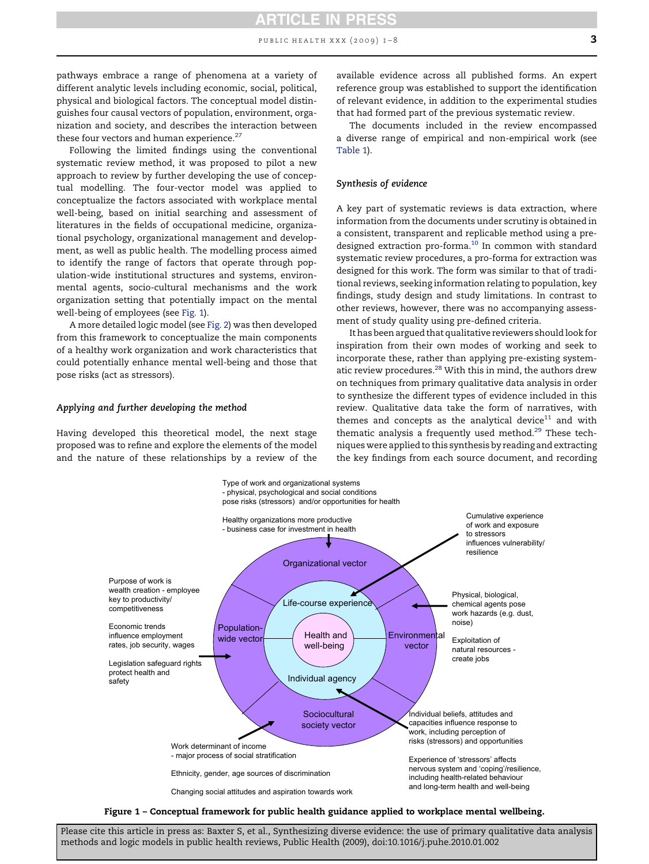PUBLIC HEALTH XXX  $(2009)$   $I-8$  3

pathways embrace a range of phenomena at a variety of different analytic levels including economic, social, political, physical and biological factors. The conceptual model distinguishes four causal vectors of population, environment, organization and society, and describes the interaction between these four vectors and human experience. $27$ 

Following the limited findings using the conventional systematic review method, it was proposed to pilot a new approach to review by further developing the use of conceptual modelling. The four-vector model was applied to conceptualize the factors associated with workplace mental well-being, based on initial searching and assessment of literatures in the fields of occupational medicine, organizational psychology, organizational management and development, as well as public health. The modelling process aimed to identify the range of factors that operate through population-wide institutional structures and systems, environmental agents, socio-cultural mechanisms and the work organization setting that potentially impact on the mental well-being of employees (see [Fig. 1](#page-2-0)).

A more detailed logic model (see Fig. 2) was then developed from this framework to conceptualize the main components of a healthy work organization and work characteristics that could potentially enhance mental well-being and those that pose risks (act as stressors).

#### Applying and further developing the method

Having developed this theoretical model, the next stage proposed was to refine and explore the elements of the model and the nature of these relationships by a review of the available evidence across all published forms. An expert reference group was established to support the identification of relevant evidence, in addition to the experimental studies that had formed part of the previous systematic review.

The documents included in the review encompassed a diverse range of empirical and non-empirical work (see Table 1).

#### Synthesis of evidence

A key part of systematic reviews is data extraction, where information from the documents under scrutiny is obtained in a consistent, transparent and replicable method using a pre-designed extraction pro-forma.<sup>[10](#page-6-0)</sup> In common with standard systematic review procedures, a pro-forma for extraction was designed for this work. The form was similar to that of traditional reviews, seeking information relating to population, key findings, study design and study limitations. In contrast to other reviews, however, there was no accompanying assessment of study quality using pre-defined criteria.

It has been argued that qualitative reviewers should look for inspiration from their own modes of working and seek to incorporate these, rather than applying pre-existing system-atic review procedures.<sup>[28](#page-7-0)</sup> With this in mind, the authors drew on techniques from primary qualitative data analysis in order to synthesize the different types of evidence included in this review. Qualitative data take the form of narratives, with themes and concepts as the analytical device $11$  and with thematic analysis a frequently used method.<sup>[29](#page-7-0)</sup> These techniques were applied to this synthesis by reading and extracting the key findings from each source document, and recording



Figure 1 – Conceptual framework for public health guidance applied to workplace mental wellbeing.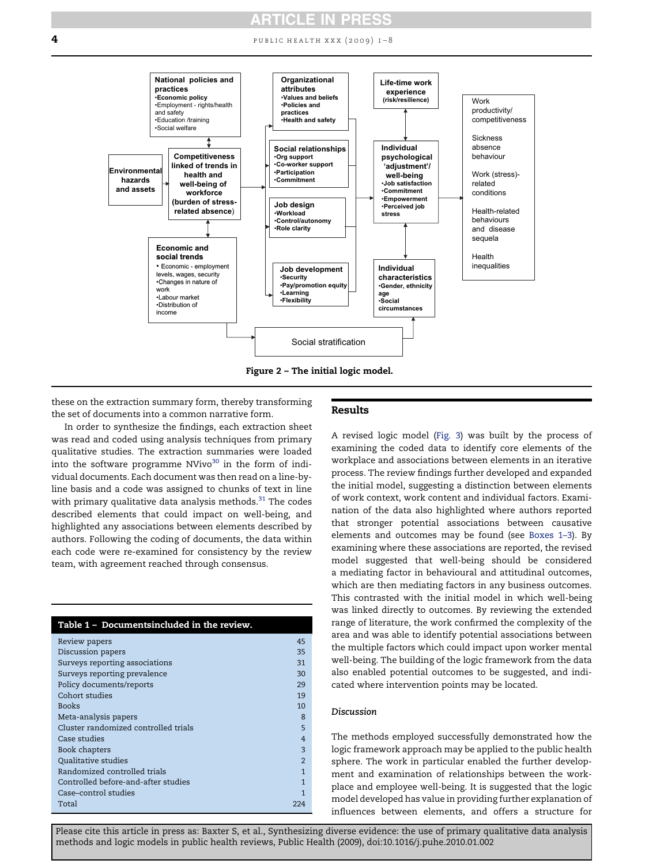**4 public health xxx** (2009) 1–8



these on the extraction summary form, thereby transforming the set of documents into a common narrative form.

#### Results

In order to synthesize the findings, each extraction sheet was read and coded using analysis techniques from primary qualitative studies. The extraction summaries were loaded into the software programme  $N$ Vivo<sup>[30](#page-7-0)</sup> in the form of individual documents. Each document was then read on a line-byline basis and a code was assigned to chunks of text in line with primary qualitative data analysis methods. $31$  The codes described elements that could impact on well-being, and highlighted any associations between elements described by authors. Following the coding of documents, the data within each code were re-examined for consistency by the review team, with agreement reached through consensus.

| Table 1 - Documentsincluded in the review. |                |
|--------------------------------------------|----------------|
| Review papers                              | 45             |
| Discussion papers                          | 35             |
| Surveys reporting associations             | 31             |
| Surveys reporting prevalence               | 30             |
| Policy documents/reports                   | 29             |
| Cohort studies                             | 19             |
| <b>Books</b>                               | 10             |
| Meta-analysis papers                       | 8              |
| Cluster randomized controlled trials       | 5              |
| Case studies                               | $\overline{4}$ |
| Book chapters                              | $\mathbf{3}$   |
| Qualitative studies                        | $\mathcal{D}$  |
| Randomized controlled trials               | 1              |
| Controlled before-and-after studies        | 1              |
| Case-control studies                       |                |
| Total                                      | 224            |

A revised logic model (Fig. 3) was built by the process of examining the coded data to identify core elements of the workplace and associations between elements in an iterative process. The review findings further developed and expanded the initial model, suggesting a distinction between elements of work context, work content and individual factors. Examination of the data also highlighted where authors reported that stronger potential associations between causative elements and outcomes may be found (see Boxes 1–3). By examining where these associations are reported, the revised model suggested that well-being should be considered a mediating factor in behavioural and attitudinal outcomes, which are then mediating factors in any business outcomes. This contrasted with the initial model in which well-being was linked directly to outcomes. By reviewing the extended range of literature, the work confirmed the complexity of the area and was able to identify potential associations between the multiple factors which could impact upon worker mental well-being. The building of the logic framework from the data also enabled potential outcomes to be suggested, and indicated where intervention points may be located.

#### Discussion

The methods employed successfully demonstrated how the logic framework approach may be applied to the public health sphere. The work in particular enabled the further development and examination of relationships between the workplace and employee well-being. It is suggested that the logic model developed has value in providing further explanation of influences between elements, and offers a structure for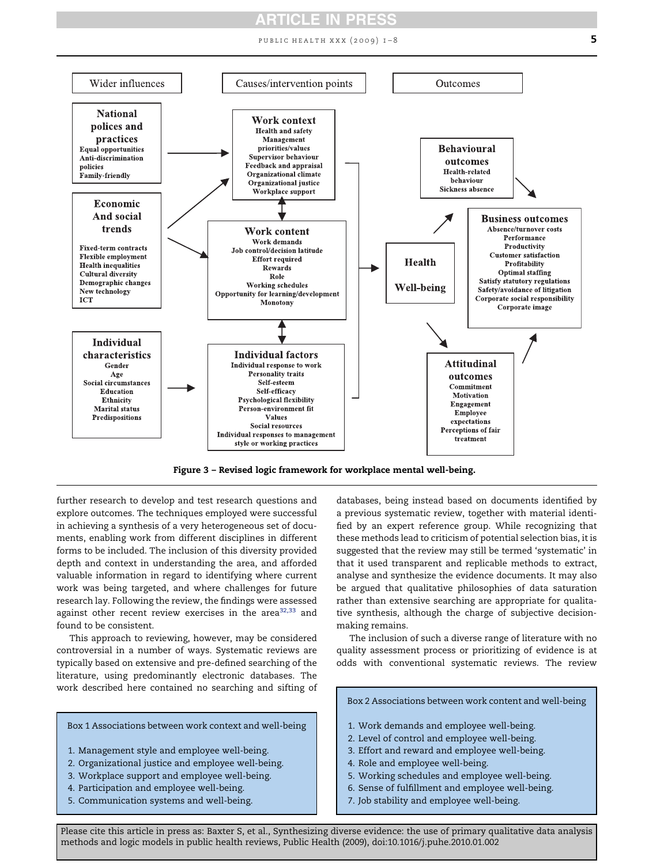PUBLIC HEALTH XXX (2009)  $1-8$  5

<span id="page-5-0"></span>

Figure 3 – Revised logic framework for workplace mental well-being.

further research to develop and test research questions and explore outcomes. The techniques employed were successful in achieving a synthesis of a very heterogeneous set of documents, enabling work from different disciplines in different forms to be included. The inclusion of this diversity provided depth and context in understanding the area, and afforded valuable information in regard to identifying where current work was being targeted, and where challenges for future research lay. Following the review, the findings were assessed against other recent review exercises in the area $32,33$  and found to be consistent.

This approach to reviewing, however, may be considered controversial in a number of ways. Systematic reviews are typically based on extensive and pre-defined searching of the literature, using predominantly electronic databases. The work described here contained no searching and sifting of

Box 1 Associations between work context and well-being

- 1. Management style and employee well-being.
- 2. Organizational justice and employee well-being.
- 3. Workplace support and employee well-being.
- 4. Participation and employee well-being.
- 5. Communication systems and well-being.

databases, being instead based on documents identified by a previous systematic review, together with material identified by an expert reference group. While recognizing that these methods lead to criticism of potential selection bias, it is suggested that the review may still be termed 'systematic' in that it used transparent and replicable methods to extract, analyse and synthesize the evidence documents. It may also be argued that qualitative philosophies of data saturation rather than extensive searching are appropriate for qualitative synthesis, although the charge of subjective decisionmaking remains.

The inclusion of such a diverse range of literature with no quality assessment process or prioritizing of evidence is at odds with conventional systematic reviews. The review

- Box 2 Associations between work content and well-being
- 1. Work demands and employee well-being.
- 2. Level of control and employee well-being.
- 3. Effort and reward and employee well-being.
- 4. Role and employee well-being.
- 5. Working schedules and employee well-being.
- 6. Sense of fulfillment and employee well-being.
- 7. Job stability and employee well-being.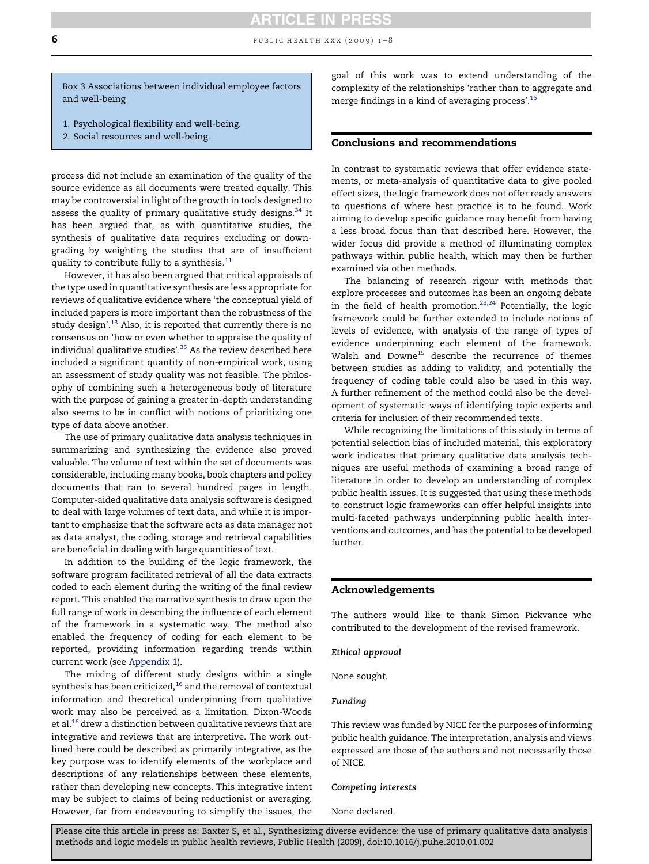<span id="page-6-0"></span>6 **b** PUBLIC HEALTH XXX (2009)  $1-8$ 

Box 3 Associations between individual employee factors and well-being

- 1. Psychological flexibility and well-being.
- 2. Social resources and well-being.

process did not include an examination of the quality of the source evidence as all documents were treated equally. This may be controversial in light of the growth in tools designed to assess the quality of primary qualitative study designs.<sup>[34](#page-7-0)</sup> It has been argued that, as with quantitative studies, the synthesis of qualitative data requires excluding or downgrading by weighting the studies that are of insufficient quality to contribute fully to a synthesis.<sup>11</sup>

However, it has also been argued that critical appraisals of the type used in quantitative synthesis are less appropriate for reviews of qualitative evidence where 'the conceptual yield of included papers is more important than the robustness of the study design'. $^{13}$  Also, it is reported that currently there is no consensus on 'how or even whether to appraise the quality of individual qualitative studies'.<sup>[35](#page-7-0)</sup> As the review described here included a significant quantity of non-empirical work, using an assessment of study quality was not feasible. The philosophy of combining such a heterogeneous body of literature with the purpose of gaining a greater in-depth understanding also seems to be in conflict with notions of prioritizing one type of data above another.

The use of primary qualitative data analysis techniques in summarizing and synthesizing the evidence also proved valuable. The volume of text within the set of documents was considerable, including many books, book chapters and policy documents that ran to several hundred pages in length. Computer-aided qualitative data analysis software is designed to deal with large volumes of text data, and while it is important to emphasize that the software acts as data manager not as data analyst, the coding, storage and retrieval capabilities are beneficial in dealing with large quantities of text.

In addition to the building of the logic framework, the software program facilitated retrieval of all the data extracts coded to each element during the writing of the final review report. This enabled the narrative synthesis to draw upon the full range of work in describing the influence of each element of the framework in a systematic way. The method also enabled the frequency of coding for each element to be reported, providing information regarding trends within current work (see [Appendix 1\)](#page-5-0).

The mixing of different study designs within a single synthesis has been criticized, $16$  and the removal of contextual information and theoretical underpinning from qualitative work may also be perceived as a limitation. Dixon-Woods et al.<sup>16</sup> drew a distinction between qualitative reviews that are integrative and reviews that are interpretive. The work outlined here could be described as primarily integrative, as the key purpose was to identify elements of the workplace and descriptions of any relationships between these elements, rather than developing new concepts. This integrative intent may be subject to claims of being reductionist or averaging. However, far from endeavouring to simplify the issues, the goal of this work was to extend understanding of the complexity of the relationships 'rather than to aggregate and merge findings in a kind of averaging process'.<sup>15</sup>

#### Conclusions and recommendations

In contrast to systematic reviews that offer evidence statements, or meta-analysis of quantitative data to give pooled effect sizes, the logic framework does not offer ready answers to questions of where best practice is to be found. Work aiming to develop specific guidance may benefit from having a less broad focus than that described here. However, the wider focus did provide a method of illuminating complex pathways within public health, which may then be further examined via other methods.

The balancing of research rigour with methods that explore processes and outcomes has been an ongoing debate in the field of health promotion. $23,24$  Potentially, the logic framework could be further extended to include notions of levels of evidence, with analysis of the range of types of evidence underpinning each element of the framework. Walsh and Downe<sup>15</sup> describe the recurrence of themes between studies as adding to validity, and potentially the frequency of coding table could also be used in this way. A further refinement of the method could also be the development of systematic ways of identifying topic experts and criteria for inclusion of their recommended texts.

While recognizing the limitations of this study in terms of potential selection bias of included material, this exploratory work indicates that primary qualitative data analysis techniques are useful methods of examining a broad range of literature in order to develop an understanding of complex public health issues. It is suggested that using these methods to construct logic frameworks can offer helpful insights into multi-faceted pathways underpinning public health interventions and outcomes, and has the potential to be developed further.

#### Acknowledgements

The authors would like to thank Simon Pickvance who contributed to the development of the revised framework.

#### Ethical approval

None sought.

#### Funding

This review was funded by NICE for the purposes of informing public health guidance. The interpretation, analysis and views expressed are those of the authors and not necessarily those of NICE.

#### Competing interests

None declared.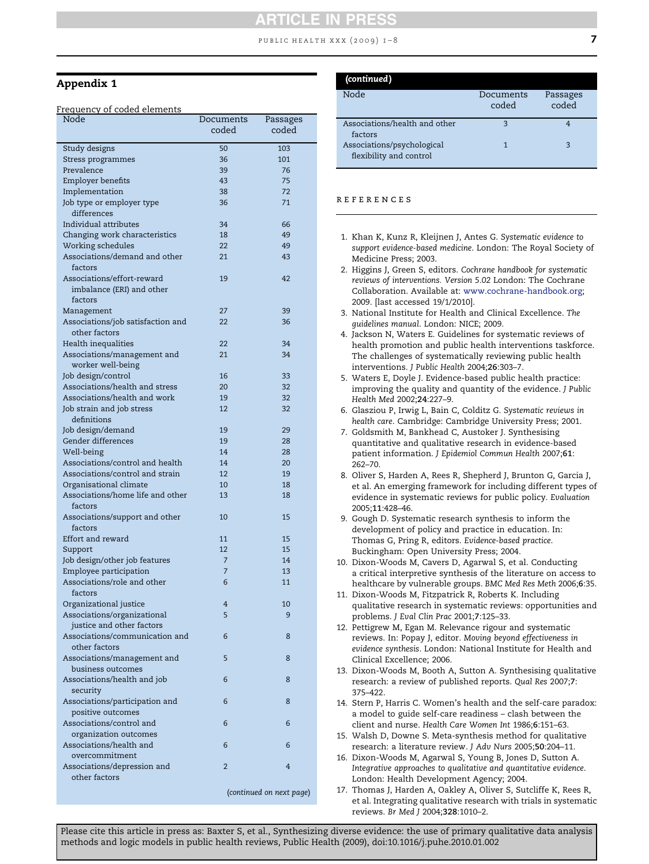#### PUBLIC HEALTH XXX  $(2009)$  I-8

#### <span id="page-7-0"></span>Appendix 1

#### Frequency of coded elements

| Node               |                                   | Documents<br>coded | Passages<br>coded        |
|--------------------|-----------------------------------|--------------------|--------------------------|
| Study designs      |                                   | 50                 | 103                      |
|                    | Stress programmes                 | 36                 | 101                      |
| Prevalence         |                                   | 39                 | 76                       |
| Employer benefits  |                                   | 43                 | 75                       |
| Implementation     |                                   | 38                 | 72                       |
|                    | Job type or employer type         | 36                 | 71                       |
| differences        |                                   |                    |                          |
|                    | Individual attributes             | 34                 | 66                       |
|                    | Changing work characteristics     | 18                 | 49                       |
|                    | Working schedules                 | 22                 | 49                       |
|                    | Associations/demand and other     | 21                 | 43                       |
| factors            |                                   |                    |                          |
|                    | Associations/effort-reward        | 19                 | 42                       |
|                    | imbalance (ERI) and other         |                    |                          |
| factors            |                                   |                    |                          |
| Management         |                                   | 27                 | 39                       |
|                    | Associations/job satisfaction and | 22                 | 36                       |
| other factors      |                                   |                    |                          |
|                    | Health inequalities               | 22                 | 34                       |
|                    | Associations/management and       | 21                 | 34                       |
|                    | worker well-being                 |                    |                          |
| Job design/control |                                   | 16                 | 33                       |
|                    | Associations/health and stress    |                    | 32                       |
|                    |                                   | 20                 |                          |
|                    | Associations/health and work      | 19                 | 32                       |
|                    | Job strain and job stress         | 12                 | 32                       |
| definitions        |                                   |                    |                          |
|                    | Job design/demand                 | 19                 | 29                       |
|                    | Gender differences                | 19                 | 28                       |
| Well-being         |                                   | 14                 | 28                       |
|                    | Associations/control and health   | 14                 | 20                       |
|                    | Associations/control and strain   | 12                 | 19                       |
|                    | Organisational climate            | 10                 | 18                       |
|                    | Associations/home life and other  | 13                 | 18                       |
| factors            |                                   |                    |                          |
|                    | Associations/support and other    | 10                 | 15                       |
| factors            |                                   |                    |                          |
| Effort and reward  |                                   | 11                 | 15                       |
| Support            |                                   | 12                 | 15                       |
|                    | Job design/other job features     | $\overline{7}$     | 14                       |
|                    | Employee participation            | $\overline{7}$     | 13                       |
|                    | Associations/role and other       | 6                  | 11                       |
| factors            |                                   |                    |                          |
|                    | Organizational justice            | 4                  | 10                       |
|                    | Associations/organizational       | 5                  | 9                        |
|                    | justice and other factors         |                    |                          |
|                    | Associations/communication and    | 6                  | 8                        |
| other factors      |                                   |                    |                          |
|                    | Associations/management and       | 5                  | 8                        |
|                    | business outcomes                 |                    |                          |
|                    | Associations/health and job       | 6                  | 8                        |
| security           |                                   |                    |                          |
|                    | Associations/participation and    | 6                  | 8                        |
|                    | positive outcomes                 |                    |                          |
|                    | Associations/control and          | 6                  | 6                        |
|                    | organization outcomes             |                    |                          |
|                    | Associations/health and           | 6                  | 6                        |
|                    | overcommitment                    |                    |                          |
|                    | Associations/depression and       | $\overline{2}$     | 4                        |
| other factors      |                                   |                    |                          |
|                    |                                   |                    | (continued on next page) |
|                    |                                   |                    |                          |
|                    |                                   |                    |                          |

| (continued)                                           |                    |                   |
|-------------------------------------------------------|--------------------|-------------------|
| Node                                                  | Documents<br>coded | Passages<br>coded |
| Associations/health and other<br>factors              | २                  |                   |
| Associations/psychological<br>flexibility and control |                    | 3                 |

#### references

- 1. Khan K, Kunz R, Kleijnen J, Antes G. *Systematic evidence to support evidence-based medicine*. London: The Royal Society of Medicine Press; 2003.
- 2. Higgins J, Green S, editors. *Cochrane handbook for systematic reviews of interventions. Version 5.02* London: The Cochrane Collaboration. Available at: [www.cochrane-handbook.org;](http://www.cochrane-handbook.org) 2009. [last accessed 19/1/2010].
- 3. National Institute for Health and Clinical Excellence. *The guidelines manual*. London: NICE; 2009.
- 4. Jackson N, Waters E. Guidelines for systematic reviews of health promotion and public health interventions taskforce. The challenges of systematically reviewing public health interventions. *J Public Health* 2004;26:303–7.
- 5. Waters E, Doyle J. Evidence-based public health practice: improving the quality and quantity of the evidence. *J Public Health Med* 2002;24:227–9.
- 6. Glasziou P, Irwig L, Bain C, Colditz G. *Systematic reviews in health care*. Cambridge: Cambridge University Press; 2001.
- 7. Goldsmith M, Bankhead C, Austoker J. Synthesising quantitative and qualitative research in evidence-based patient information. *J Epidemiol Commun Health* 2007;61: 262–70.
- 8. Oliver S, Harden A, Rees R, Shepherd J, Brunton G, Garcia J, et al. An emerging framework for including different types of evidence in systematic reviews for public policy. *Evaluation* 2005;11:428–46.
- 9. Gough D. Systematic research synthesis to inform the development of policy and practice in education. In: Thomas G, Pring R, editors. *Evidence-based practice*. Buckingham: Open University Press; 2004.
- 10. Dixon-Woods M, Cavers D, Agarwal S, et al. Conducting a critical interpretive synthesis of the literature on access to healthcare by vulnerable groups. *BMC Med Res Meth* 2006;6:35.
- 11. Dixon-Woods M, Fitzpatrick R, Roberts K. Including qualitative research in systematic reviews: opportunities and problems. *J Eval Clin Prac* 2001;7:125–33.
- 12. Pettigrew M, Egan M. Relevance rigour and systematic reviews. In: Popay J, editor. *Moving beyond effectiveness in evidence synthesis*. London: National Institute for Health and Clinical Excellence; 2006.
- 13. Dixon-Woods M, Booth A, Sutton A. Synthesising qualitative research: a review of published reports. *Qual Res* 2007;7: 375–422.
- 14. Stern P, Harris C. Women's health and the self-care paradox: a model to guide self-care readiness – clash between the client and nurse. *Health Care Women Int* 1986;6:151–63.
- 15. Walsh D, Downe S. Meta-synthesis method for qualitative research: a literature review. *J Adv Nurs* 2005;50:204–11.
- 16. Dixon-Woods M, Agarwal S, Young B, Jones D, Sutton A. *Integrative approaches to qualitative and quantitative evidence*. London: Health Development Agency; 2004.
- 17. Thomas J, Harden A, Oakley A, Oliver S, Sutcliffe K, Rees R, et al. Integrating qualitative research with trials in systematic reviews. *Br Med J* 2004;328:1010–2.